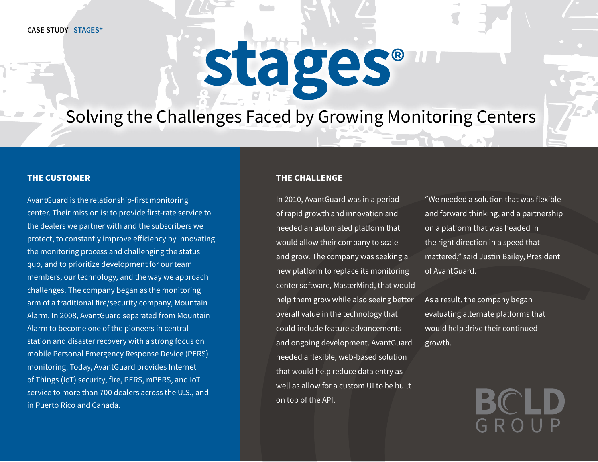# stages®

# Solving the Challenges Faced by Growing Monitoring Centers

# THE CUSTOMER

AvantGuard is the relationship-first monitoring center. Their mission is: to provide first-rate service to the dealers we partner with and the subscribers we protect, to constantly improve efficiency by innovating the monitoring process and challenging the status quo, and to prioritize development for our team members, our technology, and the way we approach challenges. The company began as the monitoring arm of a traditional fire/security company, Mountain Alarm. In 2008, AvantGuard separated from Mountain Alarm to become one of the pioneers in central station and disaster recovery with a strong focus on mobile Personal Emergency Response Device (PERS) monitoring. Today, AvantGuard provides Internet of Things (IoT) security, fire, PERS, mPERS, and IoT service to more than 700 dealers across the U.S., and in Puerto Rico and Canada.

# THE CHALLENGE

In 2010, AvantGuard was in a period of rapid growth and innovation and needed an automated platform that would allow their company to scale and grow. The company was seeking a new platform to replace its monitoring center software, MasterMind, that would help them grow while also seeing better overall value in the technology that could include feature advancements and ongoing development. AvantGuard needed a flexible, web-based solution that would help reduce data entry as well as allow for a custom UI to be built on top of the API.

"We needed a solution that was flexible and forward thinking, and a partnership on a platform that was headed in the right direction in a speed that mattered," said Justin Bailey, President of AvantGuard.

As a result, the company began evaluating alternate platforms that would help drive their continued growth.